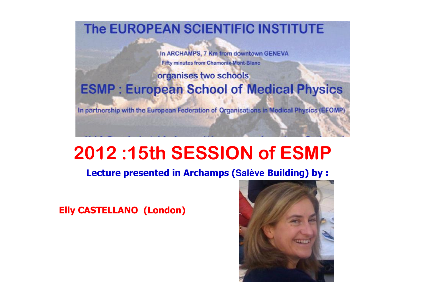The EUROPEAN SCIENTIFIC INSTITUTE

In ARCHAMPS, 7 Km from downtown GENEVA **Fifty minutes from Chamonix-Mont-Blanc** 

#### organises two schools **ESMP: European School of Medical Physics**

In partnership with the European Federation of Organisations in Medical Physics (EFOMP)

#### <sup>2012</sup> :15th SESSION of ESMP

Lecture presented in Archamps (**Salève** Building) by :

Elly CASTELLANO (London)

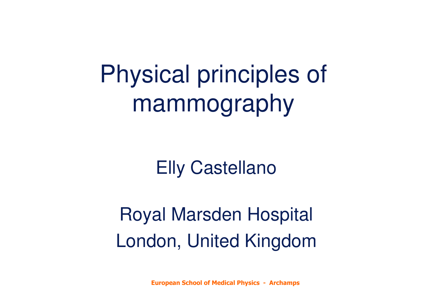Physical principles of mammography

Elly Castellano

Royal Marsden HospitalLondon, United Kingdom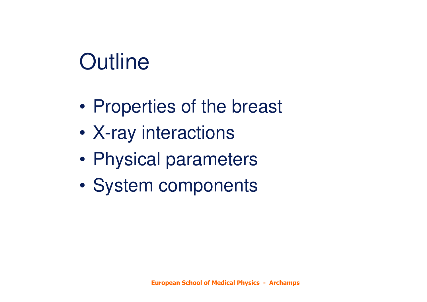### **Outline**

- $\bullet$ Properties of the breast
- •X-ray interactions
- $\bullet$ Physical parameters
- $\bullet$ System components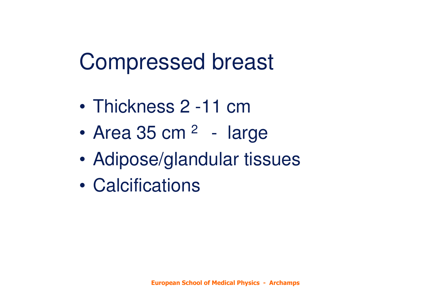### Compressed breast

- $\bullet$ Thickness 2 -11 cm
- $\bullet$  Araa 35 cm  $\le$   $\blacksquare$  Is Area 35 cm<sup>2</sup> - large
- $\bullet$ Adipose/glandular tissues
- $\bullet$ **Calcifications**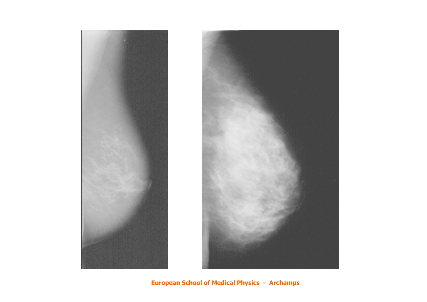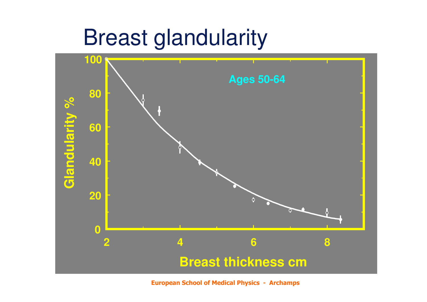### Breast glandularity



European School of Medical Physics - Archamps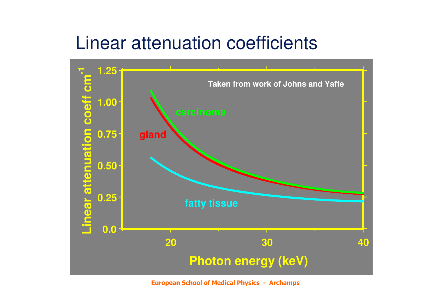#### Linear attenuation coefficients



European School of Medical Physics - Archamps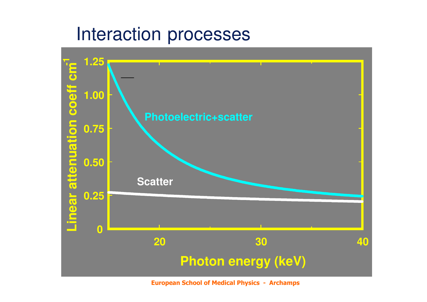#### Interaction processes

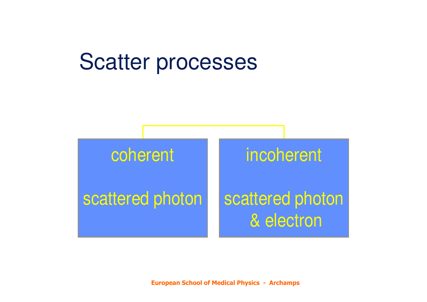### Scatter processes

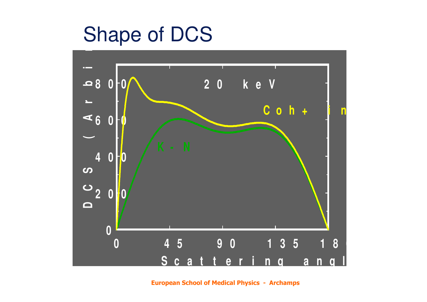### Shape of DCS

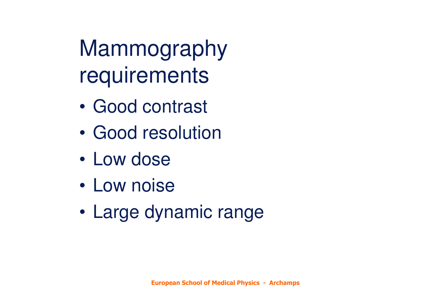Mammography requirements

- $\bullet$ Good contrast
- •Good resolution
- $\bullet$ Low dose
- $\bullet$ Low noise
- •Large dynamic range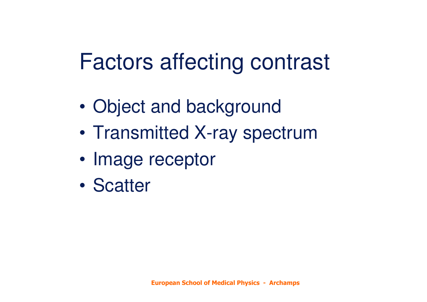# Factors affecting contrast

- $\bullet$ Object and background
- •Transmitted X-ray spectrum
- $\bullet$ Image receptor
- $\bullet$ **Scatter**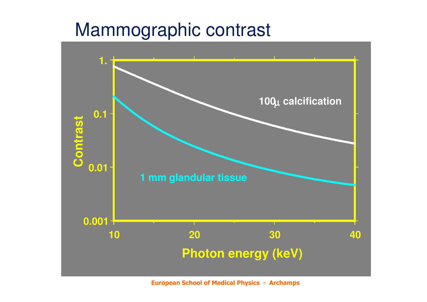### Mammographic contrast

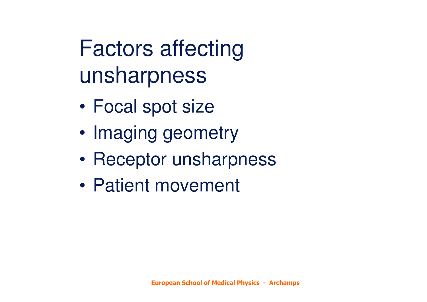Factors affecting unsharpness

- $\bullet$ Focal spot size
- •Imaging geometry
- $\bullet$ Receptor unsharpness
- $\bullet$ Patient movement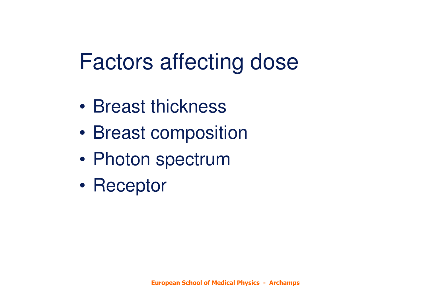# Factors affecting dose

- $\bullet$ Breast thickness
- •Breast composition
- $\bullet$ Photon spectrum
- $\bullet$ Receptor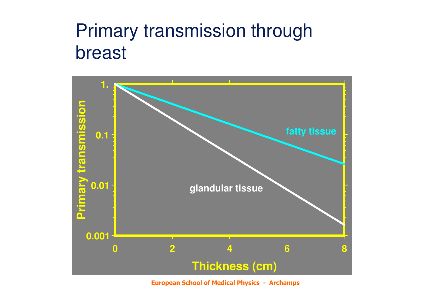### Primary transmission through breast



European School of Medical Physics - Archamps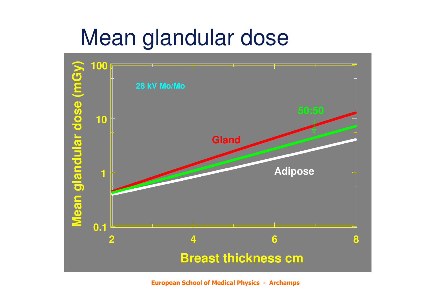# Mean glandular dose

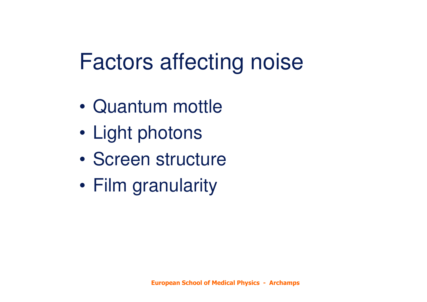# Factors affecting noise

- $\bullet$ Quantum mottle
- •Light photons
- $\bullet$ Screen structure
- $\bullet$ Film granularity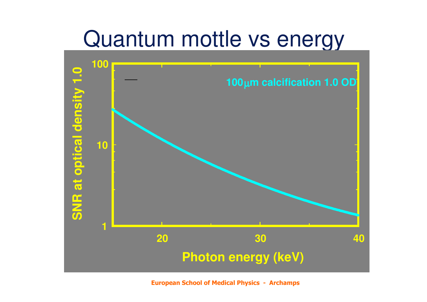### Quantum mottle vs energy

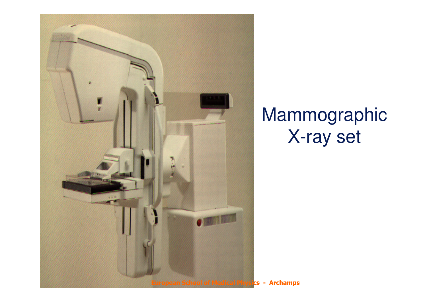

### Mammographic X-ray set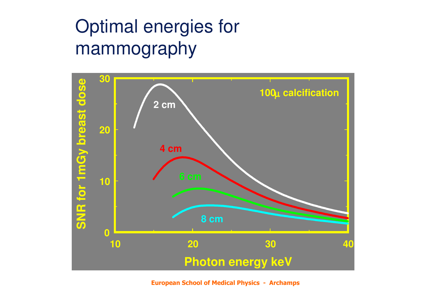### Optimal energies for mammography

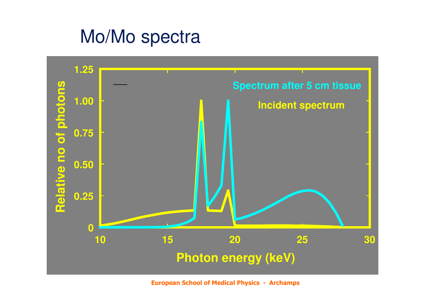### Mo/Mo spectra



European School of Medical Physics - Archamps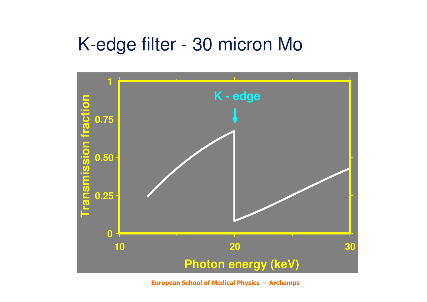### K-edge filter - 30 micron Mo



European School of Medical Physics - Archamps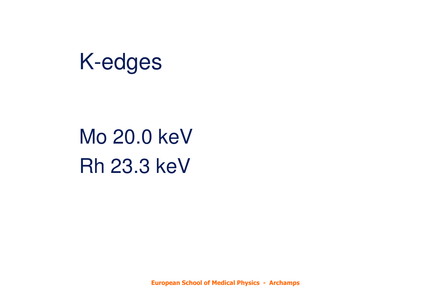

# Mo 20.0 keVRh 23.3 keV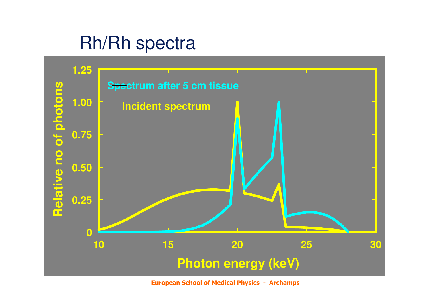### Rh/Rh spectra



European School of Medical Physics - Archamps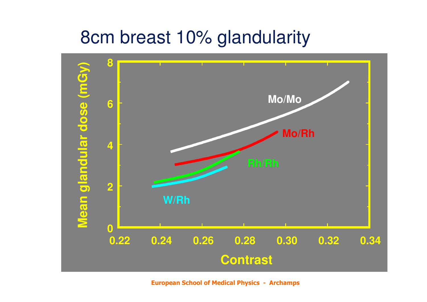#### 8cm breast 10% glandularity



European School of Medical Physics - Archamps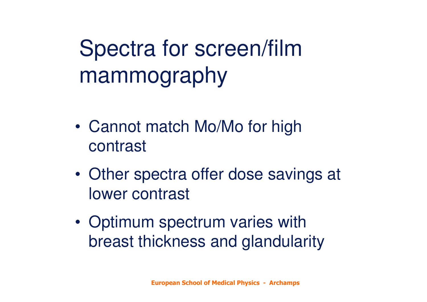Spectra for screen/film mammography

- • Cannot match Mo/Mo for high contrast
- • Other spectra offer dose savings at lower contrast
- • Optimum spectrum varies with breast thickness and glandularity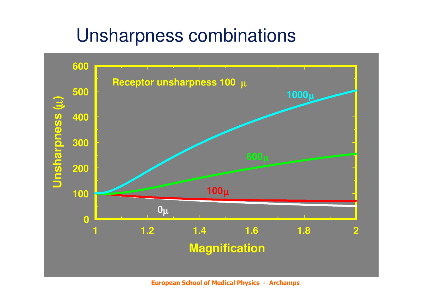### Unsharpness combinations

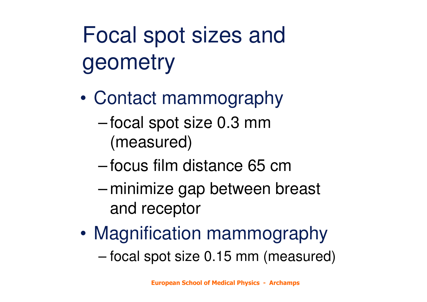Focal spot sizes and geometry

- $\bullet$  Contact mammography
	- – focal spot size 0.3 mm (measured)
	- –focus film distance 65 cm
	- – minimize gap between breast and receptor
- $\bullet$  Magnification mammography
	- –focal spot size 0.15 mm (measured)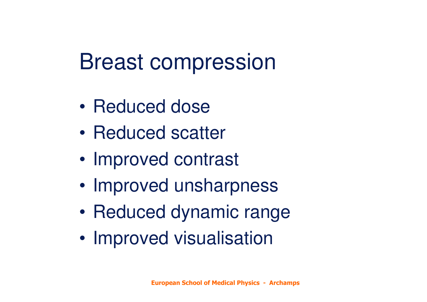# Breast compression

- $\bullet$ Reduced dose
- •Reduced scatter
- $\bullet$ Improved contrast
- $\bullet$ Improved unsharpness
- •Reduced dynamic range
- $\bullet$ Improved visualisation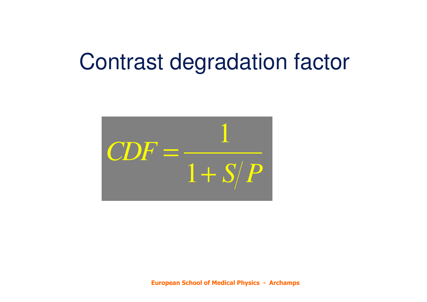### Contrast degradation factor

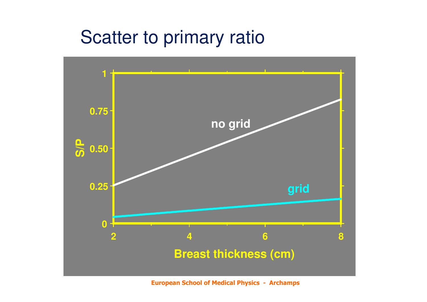### Scatter to primary ratio

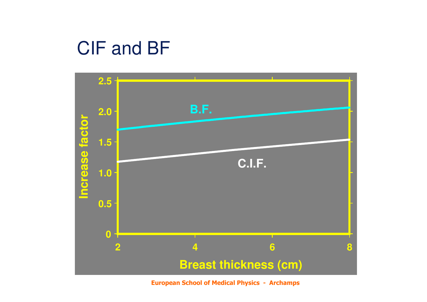#### CIF and BF



European School of Medical Physics - Archamps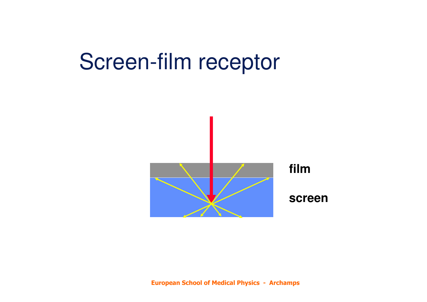### Screen-film receptor

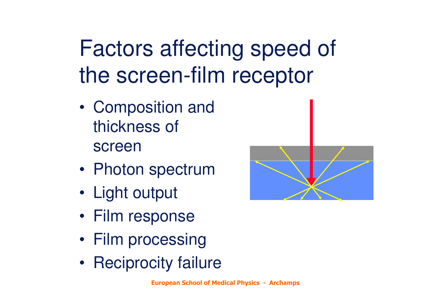Factors affecting speed of the screen-film receptor

- • Composition and thickness of screen
- $\bullet$ Photon spectrum
- •Light output
- •Film response
- $\bullet$ Film processing
- •Reciprocity failure

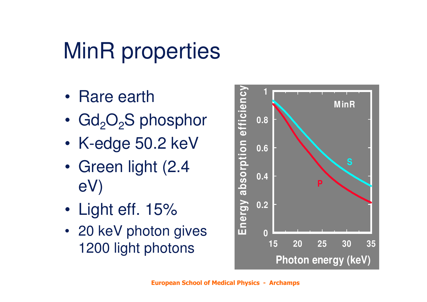# MinR properties

- •Rare earth
- • $Gd_2O_2S$  phosphor
- $\bullet$   $K$ - $\alpha$ K-edge 50.2 keV
- • Green light (2.4 eV)
- •Light eff. 15%
- 20 keV photon gives 1200 light photons

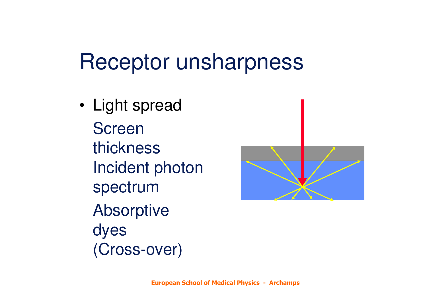# Receptor unsharpness

• Light spreadScreen thickness Incident photon spectrum Absorptive dyes(Cross-over)

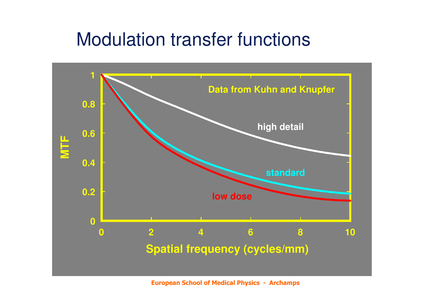### Modulation transfer functions

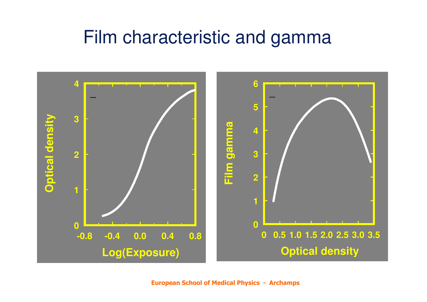#### Film characteristic and gamma

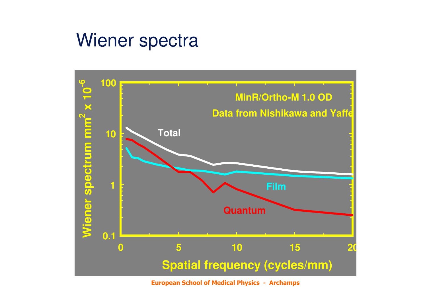### Wiener spectra



European School of Medical Physics - Archamps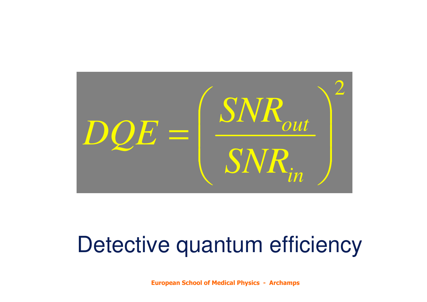

# Detective quantum efficiency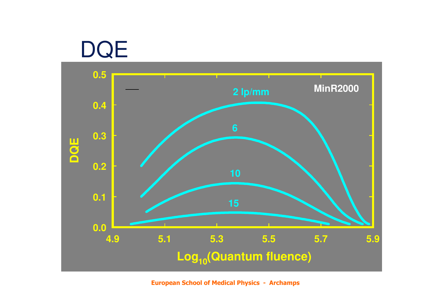# DQE

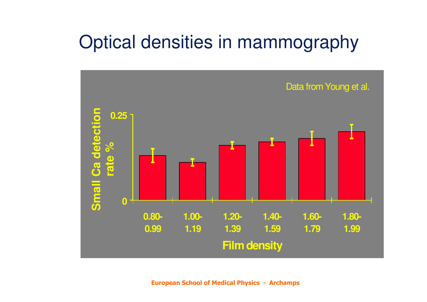### Optical densities in mammography

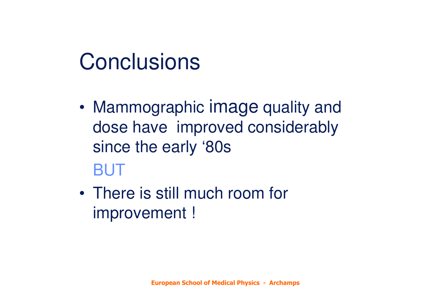# **Conclusions**

- $\bullet$ Mammographic image quality and dose have improved considerably since the early '80sBUT
- $\bullet$  There is still much room for improvement !